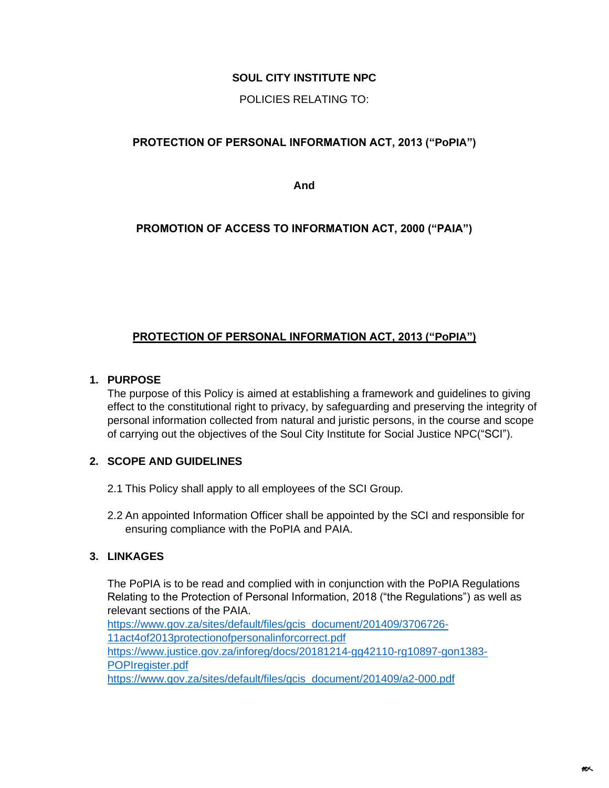# **SOUL CITY INSTITUTE NPC**

POLICIES RELATING TO:

# **PROTECTION OF PERSONAL INFORMATION ACT, 2013 ("PoPIA")**

**And** 

# **PROMOTION OF ACCESS TO INFORMATION ACT, 2000 ("PAIA")**

# **PROTECTION OF PERSONAL INFORMATION ACT, 2013 ("PoPIA")**

### **1. PURPOSE**

The purpose of this Policy is aimed at establishing a framework and guidelines to giving effect to the constitutional right to privacy, by safeguarding and preserving the integrity of personal information collected from natural and juristic persons, in the course and scope of carrying out the objectives of the Soul City Institute for Social Justice NPC("SCI").

# **2. SCOPE AND GUIDELINES**

- 2.1 This Policy shall apply to all employees of the SCI Group.
- 2.2 An appointed Information Officer shall be appointed by the SCI and responsible for ensuring compliance with the PoPIA and PAIA.

# **3. LINKAGES**

The PoPIA is to be read and complied with in conjunction with the PoPIA Regulations Relating to the Protection of Personal Information, 2018 ("the Regulations") as well as relevant sections of the PAIA. [https://www.gov.za/sites/default/files/gcis\\_document/201409/3706726-](https://www.gov.za/sites/default/files/gcis_document/201409/3706726-11act4of2013protectionofpersonalinforcorrect.pdf) [11act4of2013protectionofpersonalinforcorrect.pdf](https://www.gov.za/sites/default/files/gcis_document/201409/3706726-11act4of2013protectionofpersonalinforcorrect.pdf) [https://www.justice.gov.za/inforeg/docs/20181214-gg42110-rg10897-gon1383-](https://www.justice.gov.za/inforeg/docs/20181214-gg42110-rg10897-gon1383-POPIregister.pdf) [POPIregister.pdf](https://www.justice.gov.za/inforeg/docs/20181214-gg42110-rg10897-gon1383-POPIregister.pdf)

[https://www.gov.za/sites/default/files/gcis\\_document/201409/a2-000.pdf](https://www.gov.za/sites/default/files/gcis_document/201409/a2-000.pdf)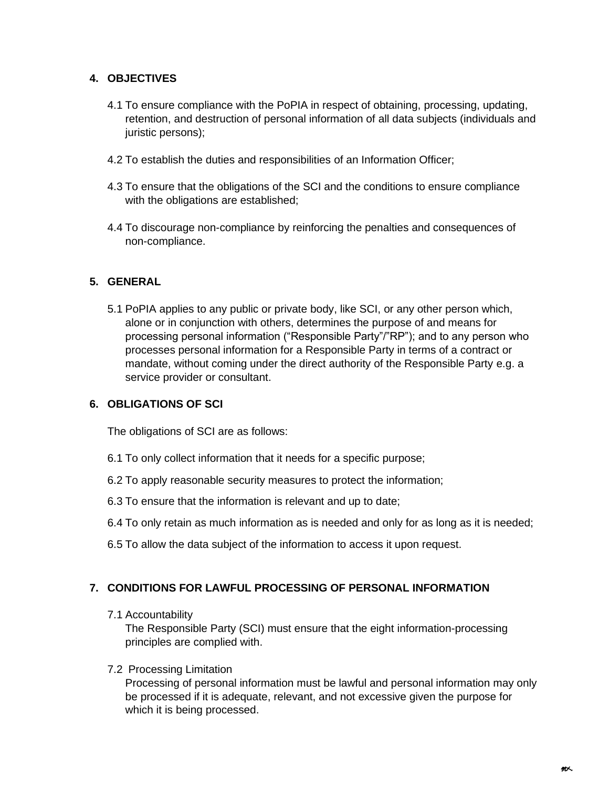# **4. OBJECTIVES**

- 4.1 To ensure compliance with the PoPIA in respect of obtaining, processing, updating, retention, and destruction of personal information of all data subjects (individuals and juristic persons);
- 4.2 To establish the duties and responsibilities of an Information Officer;
- 4.3 To ensure that the obligations of the SCI and the conditions to ensure compliance with the obligations are established;
- 4.4 To discourage non-compliance by reinforcing the penalties and consequences of non-compliance.

### **5. GENERAL**

5.1 PoPIA applies to any public or private body, like SCI, or any other person which, alone or in conjunction with others, determines the purpose of and means for processing personal information ("Responsible Party"/"RP"); and to any person who processes personal information for a Responsible Party in terms of a contract or mandate, without coming under the direct authority of the Responsible Party e.g. a service provider or consultant.

### **6. OBLIGATIONS OF SCI**

The obligations of SCI are as follows:

- 6.1 To only collect information that it needs for a specific purpose;
- 6.2 To apply reasonable security measures to protect the information;
- 6.3 To ensure that the information is relevant and up to date;
- 6.4 To only retain as much information as is needed and only for as long as it is needed;
- 6.5 To allow the data subject of the information to access it upon request.

### **7. CONDITIONS FOR LAWFUL PROCESSING OF PERSONAL INFORMATION**

7.1 Accountability

The Responsible Party (SCI) must ensure that the eight information-processing principles are complied with.

7.2 Processing Limitation

Processing of personal information must be lawful and personal information may only be processed if it is adequate, relevant, and not excessive given the purpose for which it is being processed.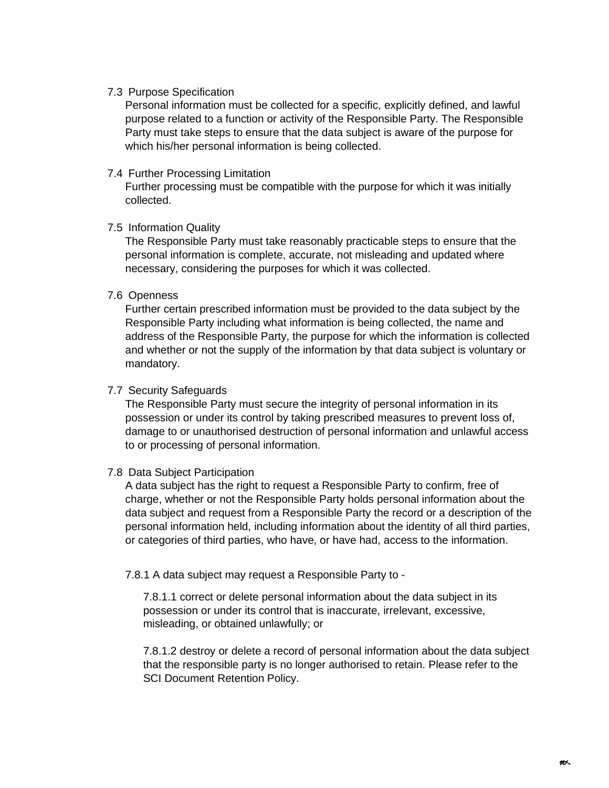#### 7.3 Purpose Specification

Personal information must be collected for a specific, explicitly defined, and lawful purpose related to a function or activity of the Responsible Party. The Responsible Party must take steps to ensure that the data subject is aware of the purpose for which his/her personal information is being collected.

#### 7.4 Further Processing Limitation

Further processing must be compatible with the purpose for which it was initially collected.

#### 7.5 Information Quality

The Responsible Party must take reasonably practicable steps to ensure that the personal information is complete, accurate, not misleading and updated where necessary, considering the purposes for which it was collected.

#### 7.6 Openness

Further certain prescribed information must be provided to the data subject by the Responsible Party including what information is being collected, the name and address of the Responsible Party, the purpose for which the information is collected and whether or not the supply of the information by that data subject is voluntary or mandatory.

#### 7.7 Security Safeguards

The Responsible Party must secure the integrity of personal information in its possession or under its control by taking prescribed measures to prevent loss of, damage to or unauthorised destruction of personal information and unlawful access to or processing of personal information.

### 7.8 Data Subject Participation

A data subject has the right to request a Responsible Party to confirm, free of charge, whether or not the Responsible Party holds personal information about the data subject and request from a Responsible Party the record or a description of the personal information held, including information about the identity of all third parties, or categories of third parties, who have, or have had, access to the information.

7.8.1 A data subject may request a Responsible Party to -

7.8.1.1 correct or delete personal information about the data subject in its possession or under its control that is inaccurate, irrelevant, excessive, misleading, or obtained unlawfully; or

7.8.1.2 destroy or delete a record of personal information about the data subject that the responsible party is no longer authorised to retain. Please refer to the SCI Document Retention Policy.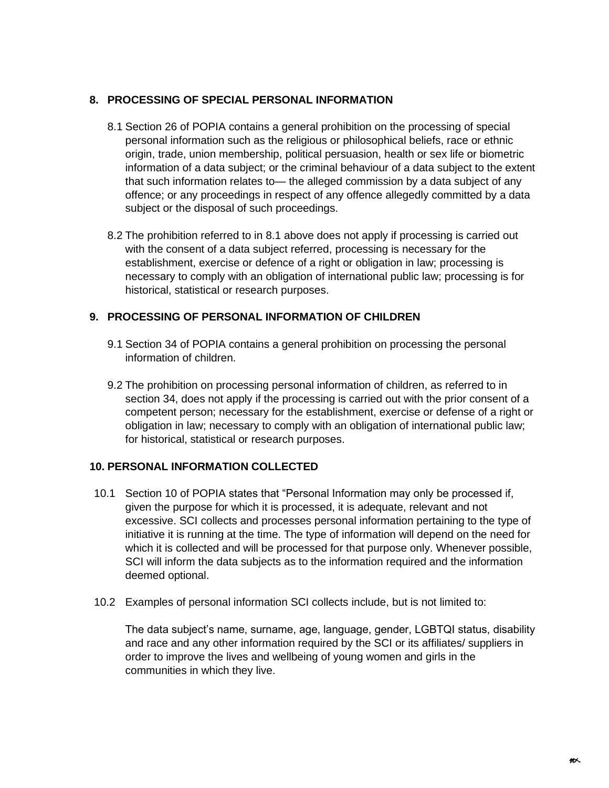### **8. PROCESSING OF SPECIAL PERSONAL INFORMATION**

- 8.1 Section 26 of POPIA contains a general prohibition on the processing of special personal information such as the religious or philosophical beliefs, race or ethnic origin, trade, union membership, political persuasion, health or sex life or biometric information of a data subject; or the criminal behaviour of a data subject to the extent that such information relates to— the alleged commission by a data subject of any offence; or any proceedings in respect of any offence allegedly committed by a data subject or the disposal of such proceedings.
- 8.2 The prohibition referred to in 8.1 above does not apply if processing is carried out with the consent of a data subject referred, processing is necessary for the establishment, exercise or defence of a right or obligation in law; processing is necessary to comply with an obligation of international public law; processing is for historical, statistical or research purposes.

# **9. PROCESSING OF PERSONAL INFORMATION OF CHILDREN**

- 9.1 Section 34 of POPIA contains a general prohibition on processing the personal information of children.
- 9.2 The prohibition on processing personal information of children, as referred to in section 34, does not apply if the processing is carried out with the prior consent of a competent person; necessary for the establishment, exercise or defense of a right or obligation in law; necessary to comply with an obligation of international public law; for historical, statistical or research purposes.

### **10. PERSONAL INFORMATION COLLECTED**

- 10.1 Section 10 of POPIA states that "Personal Information may only be processed if, given the purpose for which it is processed, it is adequate, relevant and not excessive. SCI collects and processes personal information pertaining to the type of initiative it is running at the time. The type of information will depend on the need for which it is collected and will be processed for that purpose only. Whenever possible, SCI will inform the data subjects as to the information required and the information deemed optional.
- 10.2 Examples of personal information SCI collects include, but is not limited to:

The data subject's name, surname, age, language, gender, LGBTQI status, disability and race and any other information required by the SCI or its affiliates/ suppliers in order to improve the lives and wellbeing of young women and girls in the communities in which they live.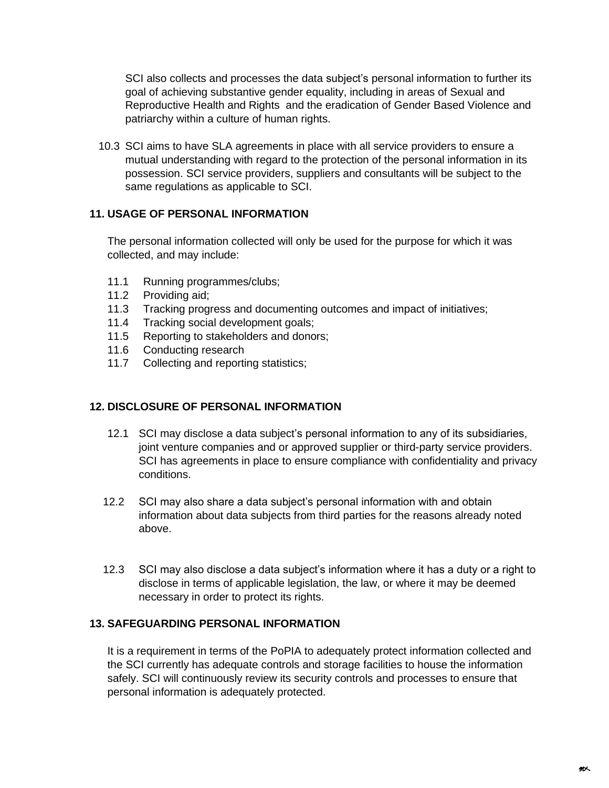SCI also collects and processes the data subject's personal information to further its goal of achieving substantive gender equality, including in areas of Sexual and Reproductive Health and Rights and the eradication of Gender Based Violence and patriarchy within a culture of human rights.

10.3 SCI aims to have SLA agreements in place with all service providers to ensure a mutual understanding with regard to the protection of the personal information in its possession. SCI service providers, suppliers and consultants will be subject to the same regulations as applicable to SCI.

### **11. USAGE OF PERSONAL INFORMATION**

The personal information collected will only be used for the purpose for which it was collected, and may include:

- 11.1 Running programmes/clubs;
- 11.2 Providing aid;
- 11.3 Tracking progress and documenting outcomes and impact of initiatives;
- 11.4 Tracking social development goals;
- 11.5 Reporting to stakeholders and donors;
- 11.6 Conducting research
- 11.7 Collecting and reporting statistics;

### **12. DISCLOSURE OF PERSONAL INFORMATION**

- 12.1 SCI may disclose a data subject's personal information to any of its subsidiaries, joint venture companies and or approved supplier or third-party service providers. SCI has agreements in place to ensure compliance with confidentiality and privacy conditions.
- 12.2 SCI may also share a data subject's personal information with and obtain information about data subjects from third parties for the reasons already noted above.
- 12.3 SCI may also disclose a data subject's information where it has a duty or a right to disclose in terms of applicable legislation, the law, or where it may be deemed necessary in order to protect its rights.

### **13. SAFEGUARDING PERSONAL INFORMATION**

It is a requirement in terms of the PoPIA to adequately protect information collected and the SCI currently has adequate controls and storage facilities to house the information safely. SCI will continuously review its security controls and processes to ensure that personal information is adequately protected.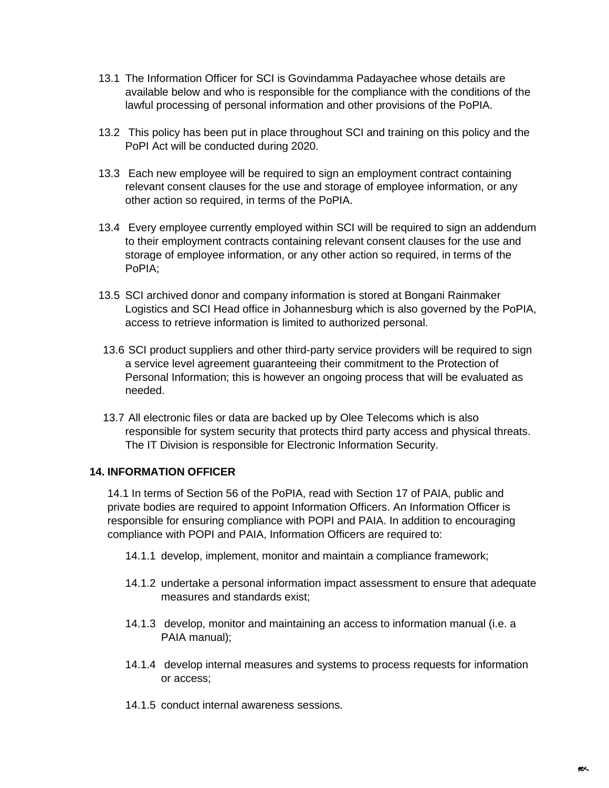- 13.1 The Information Officer for SCI is Govindamma Padayachee whose details are available below and who is responsible for the compliance with the conditions of the lawful processing of personal information and other provisions of the PoPIA.
- 13.2 This policy has been put in place throughout SCI and training on this policy and the PoPI Act will be conducted during 2020.
- 13.3 Each new employee will be required to sign an employment contract containing relevant consent clauses for the use and storage of employee information, or any other action so required, in terms of the PoPIA.
- 13.4 Every employee currently employed within SCI will be required to sign an addendum to their employment contracts containing relevant consent clauses for the use and storage of employee information, or any other action so required, in terms of the PoPIA;
- 13.5 SCI archived donor and company information is stored at Bongani Rainmaker Logistics and SCI Head office in Johannesburg which is also governed by the PoPIA, access to retrieve information is limited to authorized personal.
- 13.6 SCI product suppliers and other third-party service providers will be required to sign a service level agreement guaranteeing their commitment to the Protection of Personal Information; this is however an ongoing process that will be evaluated as needed.
- 13.7 All electronic files or data are backed up by Olee Telecoms which is also responsible for system security that protects third party access and physical threats. The IT Division is responsible for Electronic Information Security.

### **14. INFORMATION OFFICER**

14.1 In terms of Section 56 of the PoPIA, read with Section 17 of PAIA, public and private bodies are required to appoint Information Officers. An Information Officer is responsible for ensuring compliance with POPI and PAIA. In addition to encouraging compliance with POPI and PAIA, Information Officers are required to:

- 14.1.1 develop, implement, monitor and maintain a compliance framework;
- 14.1.2 undertake a personal information impact assessment to ensure that adequate measures and standards exist;
- 14.1.3 develop, monitor and maintaining an access to information manual (i.e. a PAIA manual);
- 14.1.4 develop internal measures and systems to process requests for information or access;
- 14.1.5 conduct internal awareness sessions.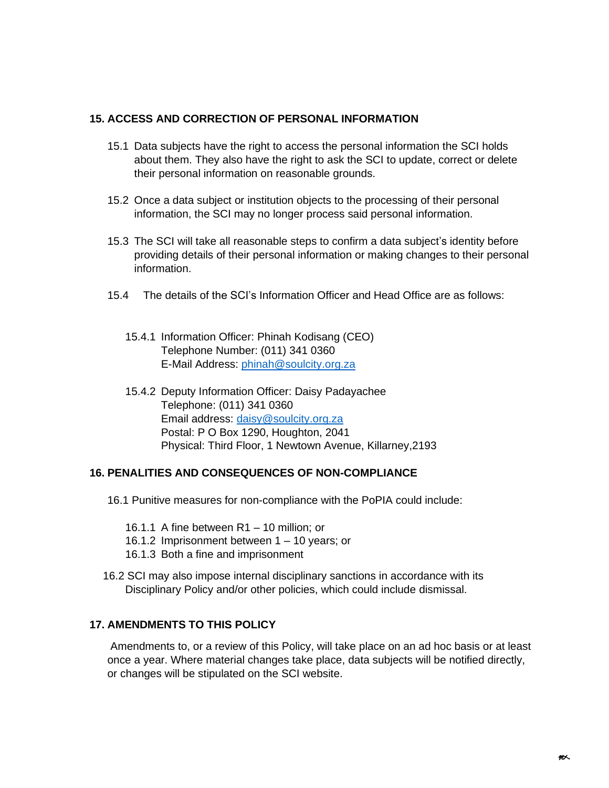#### **15. ACCESS AND CORRECTION OF PERSONAL INFORMATION**

- 15.1 Data subjects have the right to access the personal information the SCI holds about them. They also have the right to ask the SCI to update, correct or delete their personal information on reasonable grounds.
- 15.2 Once a data subject or institution objects to the processing of their personal information, the SCI may no longer process said personal information.
- 15.3 The SCI will take all reasonable steps to confirm a data subject's identity before providing details of their personal information or making changes to their personal information.
- 15.4 The details of the SCI's Information Officer and Head Office are as follows:
	- 15.4.1 Information Officer: Phinah Kodisang (CEO) Telephone Number: (011) 341 0360 E-Mail Address: [phinah@soulcity.org.za](mailto:phinah@soulcity.org.za)
	- 15.4.2 Deputy Information Officer: Daisy Padayachee Telephone: (011) 341 0360 Email address: [daisy@soulcity.org.za](mailto:daisy@soulcity.org.za) Postal: P O Box 1290, Houghton, 2041 Physical: Third Floor, 1 Newtown Avenue, Killarney,2193

### **16. PENALITIES AND CONSEQUENCES OF NON-COMPLIANCE**

- 16.1 Punitive measures for non-compliance with the PoPIA could include:
	- 16.1.1 A fine between R1 10 million; or
	- 16.1.2 Imprisonment between 1 10 years; or
	- 16.1.3 Both a fine and imprisonment
- 16.2 SCI may also impose internal disciplinary sanctions in accordance with its Disciplinary Policy and/or other policies, which could include dismissal.

### **17. AMENDMENTS TO THIS POLICY**

Amendments to, or a review of this Policy, will take place on an ad hoc basis or at least once a year. Where material changes take place, data subjects will be notified directly, or changes will be stipulated on the SCI website.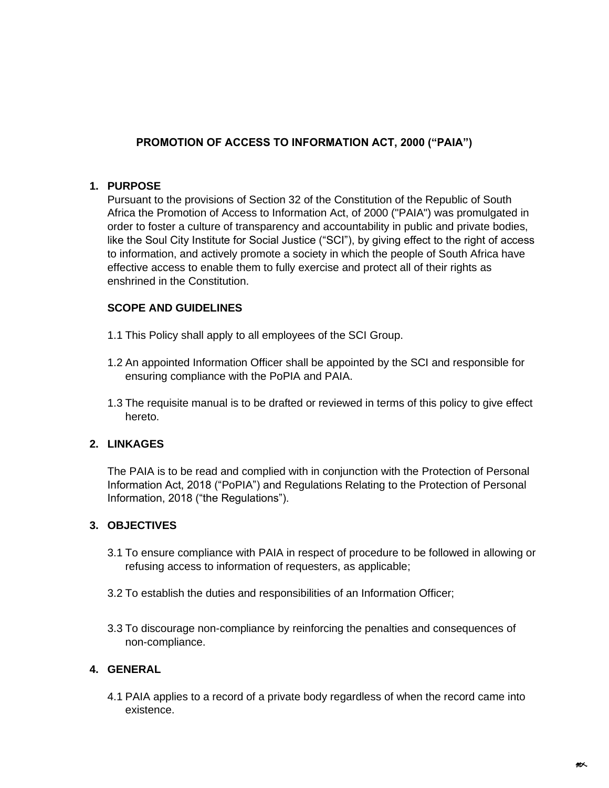# **PROMOTION OF ACCESS TO INFORMATION ACT, 2000 ("PAIA")**

### **1. PURPOSE**

Pursuant to the provisions of Section 32 of the Constitution of the Republic of South Africa the Promotion of Access to Information Act, of 2000 ("PAIA") was promulgated in order to foster a culture of transparency and accountability in public and private bodies, like the Soul City Institute for Social Justice ("SCI"), by giving effect to the right of access to information, and actively promote a society in which the people of South Africa have effective access to enable them to fully exercise and protect all of their rights as enshrined in the Constitution.

### **SCOPE AND GUIDELINES**

- 1.1 This Policy shall apply to all employees of the SCI Group.
- 1.2 An appointed Information Officer shall be appointed by the SCI and responsible for ensuring compliance with the PoPIA and PAIA.
- 1.3 The requisite manual is to be drafted or reviewed in terms of this policy to give effect hereto.

### **2. LINKAGES**

The PAIA is to be read and complied with in conjunction with the Protection of Personal Information Act, 2018 ("PoPIA") and Regulations Relating to the Protection of Personal Information, 2018 ("the Regulations").

### **3. OBJECTIVES**

- 3.1 To ensure compliance with PAIA in respect of procedure to be followed in allowing or refusing access to information of requesters, as applicable;
- 3.2 To establish the duties and responsibilities of an Information Officer;
- 3.3 To discourage non-compliance by reinforcing the penalties and consequences of non-compliance.

### **4. GENERAL**

4.1 PAIA applies to a record of a private body regardless of when the record came into existence.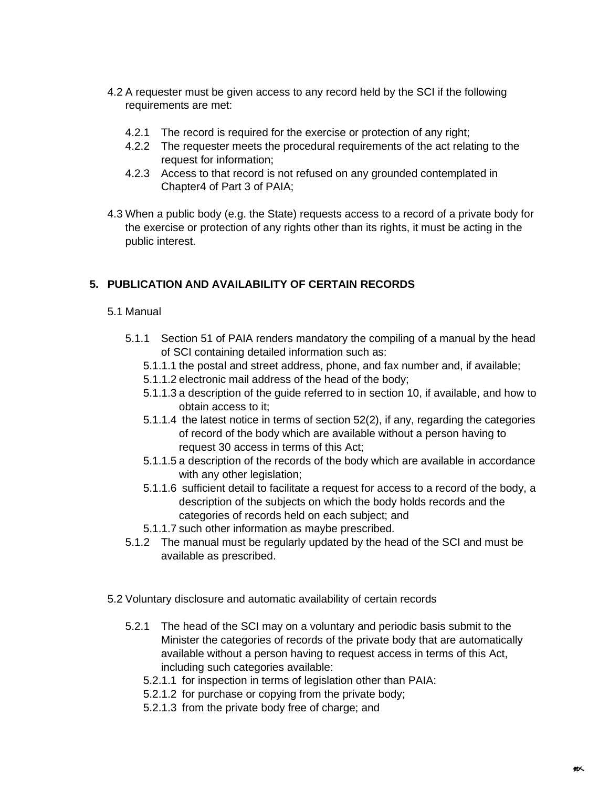- 4.2 A requester must be given access to any record held by the SCI if the following requirements are met:
	- 4.2.1 The record is required for the exercise or protection of any right;
	- 4.2.2 The requester meets the procedural requirements of the act relating to the request for information;
	- 4.2.3 Access to that record is not refused on any grounded contemplated in Chapter4 of Part 3 of PAIA;
- 4.3 When a public body (e.g. the State) requests access to a record of a private body for the exercise or protection of any rights other than its rights, it must be acting in the public interest.

# **5. PUBLICATION AND AVAILABILITY OF CERTAIN RECORDS**

- 5.1 Manual
	- 5.1.1 Section 51 of PAIA renders mandatory the compiling of a manual by the head of SCI containing detailed information such as:
		- 5.1.1.1 the postal and street address, phone, and fax number and, if available;
		- 5.1.1.2 electronic mail address of the head of the body;
		- 5.1.1.3 a description of the guide referred to in section 10, if available, and how to obtain access to it;
		- 5.1.1.4 the latest notice in terms of section 52(2), if any, regarding the categories of record of the body which are available without a person having to request 30 access in terms of this Act;
		- 5.1.1.5 a description of the records of the body which are available in accordance with any other legislation;
		- 5.1.1.6 sufficient detail to facilitate a request for access to a record of the body, a description of the subjects on which the body holds records and the categories of records held on each subject; and
		- 5.1.1.7 such other information as maybe prescribed.
	- 5.1.2 The manual must be regularly updated by the head of the SCI and must be available as prescribed.
- 5.2 Voluntary disclosure and automatic availability of certain records
	- 5.2.1 The head of the SCI may on a voluntary and periodic basis submit to the Minister the categories of records of the private body that are automatically available without a person having to request access in terms of this Act, including such categories available:
		- 5.2.1.1 for inspection in terms of legislation other than PAIA:
		- 5.2.1.2 for purchase or copying from the private body;
		- 5.2.1.3 from the private body free of charge; and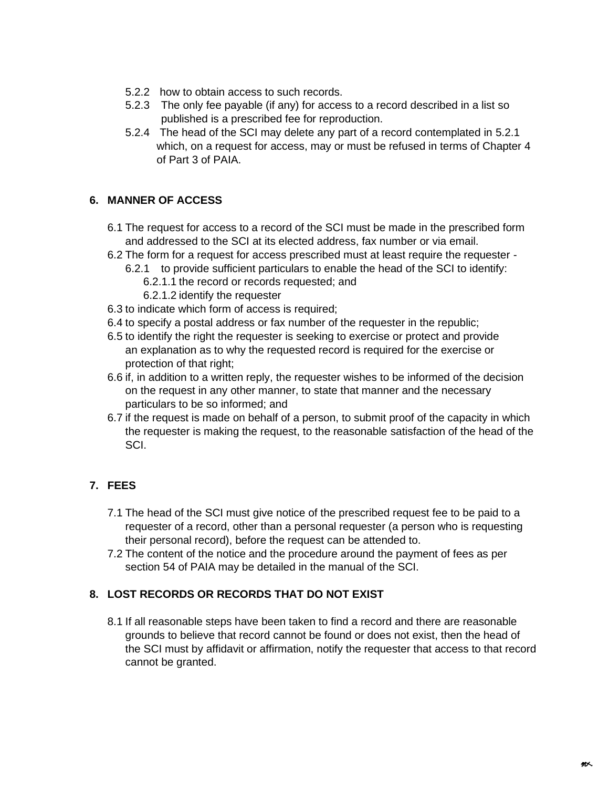- 5.2.2 how to obtain access to such records.
- 5.2.3 The only fee payable (if any) for access to a record described in a list so published is a prescribed fee for reproduction.
- 5.2.4 The head of the SCI may delete any part of a record contemplated in 5.2.1 which, on a request for access, may or must be refused in terms of Chapter 4 of Part 3 of PAIA.

# **6. MANNER OF ACCESS**

- 6.1 The request for access to a record of the SCI must be made in the prescribed form and addressed to the SCI at its elected address, fax number or via email.
- 6.2 The form for a request for access prescribed must at least require the requester
	- 6.2.1 to provide sufficient particulars to enable the head of the SCI to identify:
		- 6.2.1.1 the record or records requested; and
		- 6.2.1.2 identify the requester
- 6.3 to indicate which form of access is required;
- 6.4 to specify a postal address or fax number of the requester in the republic;
- 6.5 to identify the right the requester is seeking to exercise or protect and provide an explanation as to why the requested record is required for the exercise or protection of that right;
- 6.6 if, in addition to a written reply, the requester wishes to be informed of the decision on the request in any other manner, to state that manner and the necessary particulars to be so informed; and
- 6.7 if the request is made on behalf of a person, to submit proof of the capacity in which the requester is making the request, to the reasonable satisfaction of the head of the SCI.

# **7. FEES**

- 7.1 The head of the SCI must give notice of the prescribed request fee to be paid to a requester of a record, other than a personal requester (a person who is requesting their personal record), before the request can be attended to.
- 7.2 The content of the notice and the procedure around the payment of fees as per section 54 of PAIA may be detailed in the manual of the SCI.

# **8. LOST RECORDS OR RECORDS THAT DO NOT EXIST**

8.1 If all reasonable steps have been taken to find a record and there are reasonable grounds to believe that record cannot be found or does not exist, then the head of the SCI must by affidavit or affirmation, notify the requester that access to that record cannot be granted.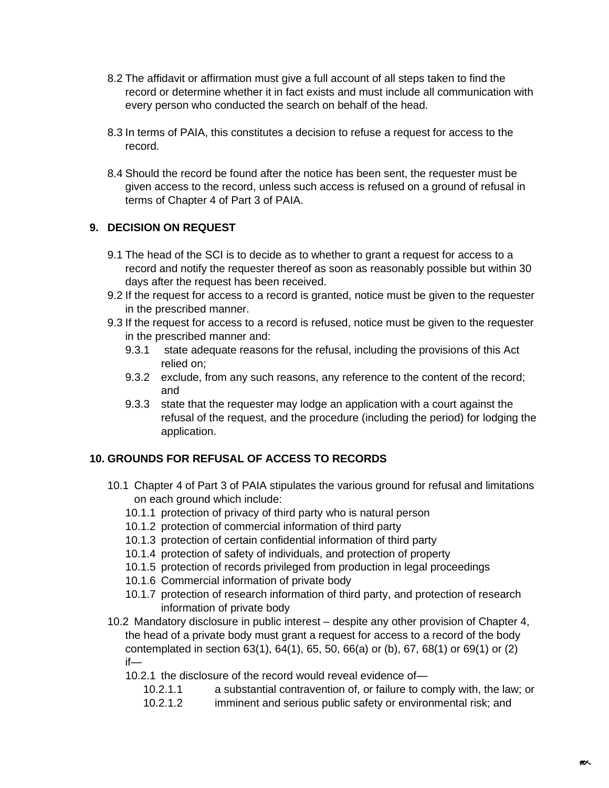- 8.2 The affidavit or affirmation must give a full account of all steps taken to find the record or determine whether it in fact exists and must include all communication with every person who conducted the search on behalf of the head.
- 8.3 In terms of PAIA, this constitutes a decision to refuse a request for access to the record.
- 8.4 Should the record be found after the notice has been sent, the requester must be given access to the record, unless such access is refused on a ground of refusal in terms of Chapter 4 of Part 3 of PAIA.

# **9. DECISION ON REQUEST**

- 9.1 The head of the SCI is to decide as to whether to grant a request for access to a record and notify the requester thereof as soon as reasonably possible but within 30 days after the request has been received.
- 9.2 If the request for access to a record is granted, notice must be given to the requester in the prescribed manner.
- 9.3 If the request for access to a record is refused, notice must be given to the requester in the prescribed manner and:
	- 9.3.1 state adequate reasons for the refusal, including the provisions of this Act relied on;
	- 9.3.2 exclude, from any such reasons, any reference to the content of the record; and
	- 9.3.3 state that the requester may lodge an application with a court against the refusal of the request, and the procedure (including the period) for lodging the application.

# **10. GROUNDS FOR REFUSAL OF ACCESS TO RECORDS**

- 10.1 Chapter 4 of Part 3 of PAIA stipulates the various ground for refusal and limitations on each ground which include:
	- 10.1.1 protection of privacy of third party who is natural person
	- 10.1.2 protection of commercial information of third party
	- 10.1.3 protection of certain confidential information of third party
	- 10.1.4 protection of safety of individuals, and protection of property
	- 10.1.5 protection of records privileged from production in legal proceedings
	- 10.1.6 Commercial information of private body
	- 10.1.7 protection of research information of third party, and protection of research information of private body
- 10.2 Mandatory disclosure in public interest despite any other provision of Chapter 4, the head of a private body must grant a request for access to a record of the body contemplated in section 63(1), 64(1), 65, 50, 66(a) or (b), 67, 68(1) or 69(1) or (2) if—
	- 10.2.1 the disclosure of the record would reveal evidence of—
		- 10.2.1.1 a substantial contravention of, or failure to comply with, the law; or
		- 10.2.1.2 imminent and serious public safety or environmental risk; and